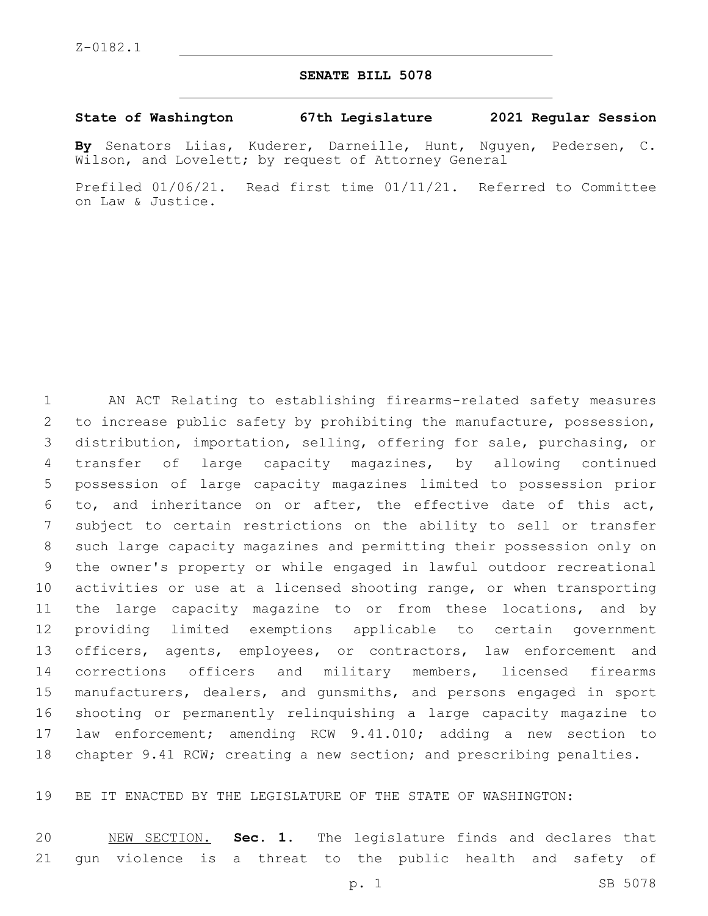## **SENATE BILL 5078**

## **State of Washington 67th Legislature 2021 Regular Session**

**By** Senators Liias, Kuderer, Darneille, Hunt, Nguyen, Pedersen, C. Wilson, and Lovelett; by request of Attorney General

Prefiled 01/06/21. Read first time 01/11/21. Referred to Committee on Law & Justice.

 AN ACT Relating to establishing firearms-related safety measures to increase public safety by prohibiting the manufacture, possession, distribution, importation, selling, offering for sale, purchasing, or transfer of large capacity magazines, by allowing continued possession of large capacity magazines limited to possession prior to, and inheritance on or after, the effective date of this act, subject to certain restrictions on the ability to sell or transfer such large capacity magazines and permitting their possession only on the owner's property or while engaged in lawful outdoor recreational activities or use at a licensed shooting range, or when transporting the large capacity magazine to or from these locations, and by providing limited exemptions applicable to certain government 13 officers, agents, employees, or contractors, law enforcement and corrections officers and military members, licensed firearms manufacturers, dealers, and gunsmiths, and persons engaged in sport shooting or permanently relinquishing a large capacity magazine to law enforcement; amending RCW 9.41.010; adding a new section to chapter 9.41 RCW; creating a new section; and prescribing penalties.

BE IT ENACTED BY THE LEGISLATURE OF THE STATE OF WASHINGTON:

 NEW SECTION. **Sec. 1.** The legislature finds and declares that gun violence is a threat to the public health and safety of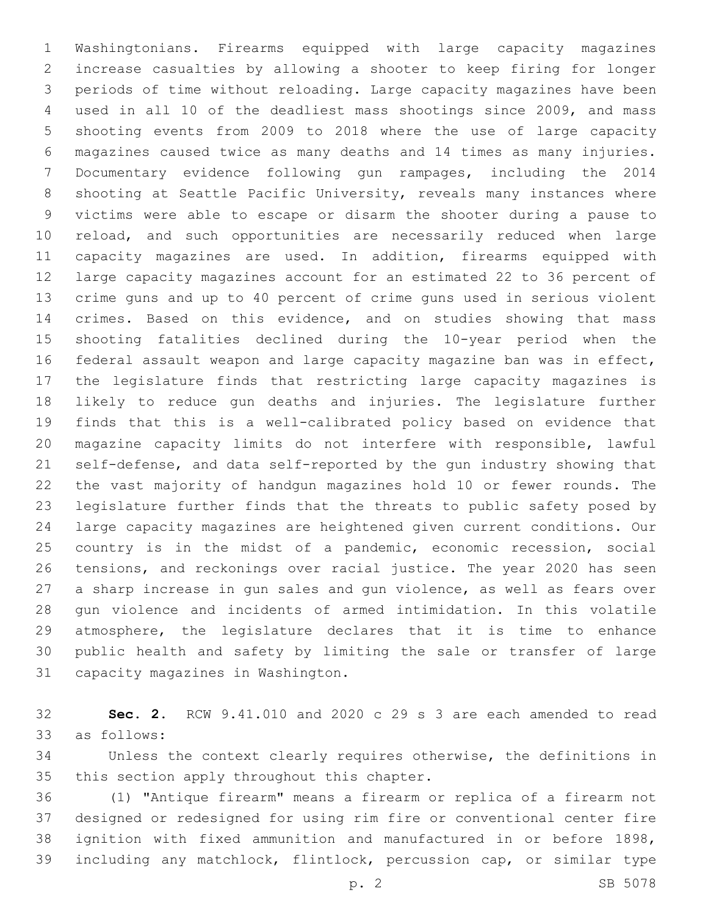Washingtonians. Firearms equipped with large capacity magazines increase casualties by allowing a shooter to keep firing for longer periods of time without reloading. Large capacity magazines have been used in all 10 of the deadliest mass shootings since 2009, and mass shooting events from 2009 to 2018 where the use of large capacity magazines caused twice as many deaths and 14 times as many injuries. Documentary evidence following gun rampages, including the 2014 shooting at Seattle Pacific University, reveals many instances where victims were able to escape or disarm the shooter during a pause to reload, and such opportunities are necessarily reduced when large capacity magazines are used. In addition, firearms equipped with large capacity magazines account for an estimated 22 to 36 percent of crime guns and up to 40 percent of crime guns used in serious violent crimes. Based on this evidence, and on studies showing that mass shooting fatalities declined during the 10-year period when the federal assault weapon and large capacity magazine ban was in effect, the legislature finds that restricting large capacity magazines is likely to reduce gun deaths and injuries. The legislature further finds that this is a well-calibrated policy based on evidence that magazine capacity limits do not interfere with responsible, lawful self-defense, and data self-reported by the gun industry showing that the vast majority of handgun magazines hold 10 or fewer rounds. The legislature further finds that the threats to public safety posed by large capacity magazines are heightened given current conditions. Our 25 country is in the midst of a pandemic, economic recession, social tensions, and reckonings over racial justice. The year 2020 has seen a sharp increase in gun sales and gun violence, as well as fears over gun violence and incidents of armed intimidation. In this volatile atmosphere, the legislature declares that it is time to enhance public health and safety by limiting the sale or transfer of large 31 capacity magazines in Washington.

 **Sec. 2.** RCW 9.41.010 and 2020 c 29 s 3 are each amended to read as follows:33

 Unless the context clearly requires otherwise, the definitions in 35 this section apply throughout this chapter.

 (1) "Antique firearm" means a firearm or replica of a firearm not designed or redesigned for using rim fire or conventional center fire ignition with fixed ammunition and manufactured in or before 1898, including any matchlock, flintlock, percussion cap, or similar type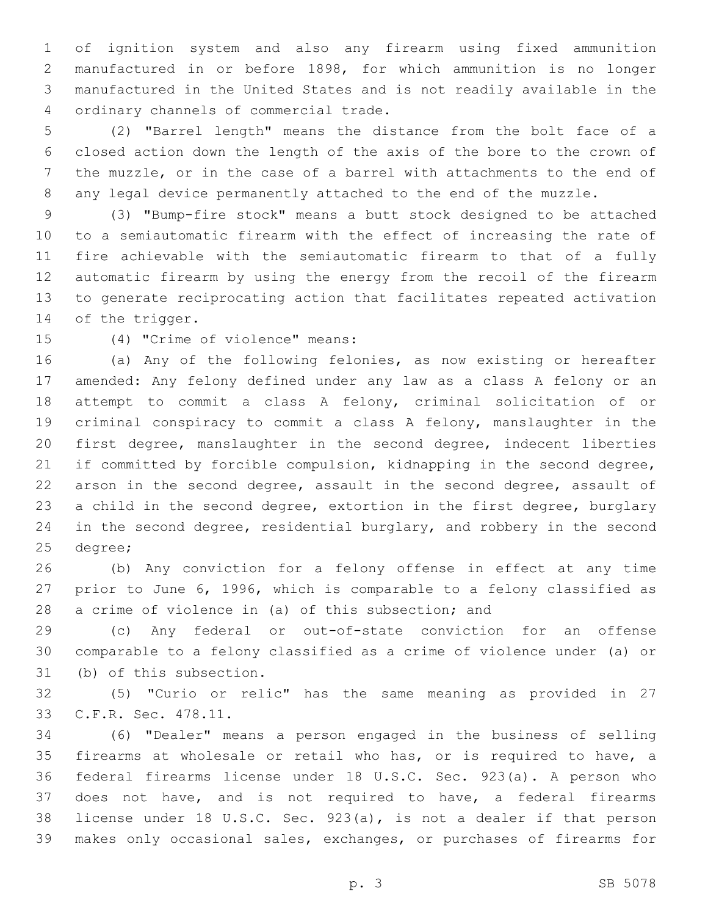of ignition system and also any firearm using fixed ammunition manufactured in or before 1898, for which ammunition is no longer manufactured in the United States and is not readily available in the ordinary channels of commercial trade.4

 (2) "Barrel length" means the distance from the bolt face of a closed action down the length of the axis of the bore to the crown of the muzzle, or in the case of a barrel with attachments to the end of any legal device permanently attached to the end of the muzzle.

 (3) "Bump-fire stock" means a butt stock designed to be attached to a semiautomatic firearm with the effect of increasing the rate of fire achievable with the semiautomatic firearm to that of a fully automatic firearm by using the energy from the recoil of the firearm to generate reciprocating action that facilitates repeated activation 14 of the trigger.

(4) "Crime of violence" means:15

 (a) Any of the following felonies, as now existing or hereafter amended: Any felony defined under any law as a class A felony or an attempt to commit a class A felony, criminal solicitation of or criminal conspiracy to commit a class A felony, manslaughter in the first degree, manslaughter in the second degree, indecent liberties if committed by forcible compulsion, kidnapping in the second degree, arson in the second degree, assault in the second degree, assault of a child in the second degree, extortion in the first degree, burglary in the second degree, residential burglary, and robbery in the second 25 degree;

 (b) Any conviction for a felony offense in effect at any time prior to June 6, 1996, which is comparable to a felony classified as a crime of violence in (a) of this subsection; and

 (c) Any federal or out-of-state conviction for an offense comparable to a felony classified as a crime of violence under (a) or 31 (b) of this subsection.

 (5) "Curio or relic" has the same meaning as provided in 27 33 C.F.R. Sec. 478.11.

 (6) "Dealer" means a person engaged in the business of selling firearms at wholesale or retail who has, or is required to have, a federal firearms license under 18 U.S.C. Sec. 923(a). A person who does not have, and is not required to have, a federal firearms license under 18 U.S.C. Sec. 923(a), is not a dealer if that person makes only occasional sales, exchanges, or purchases of firearms for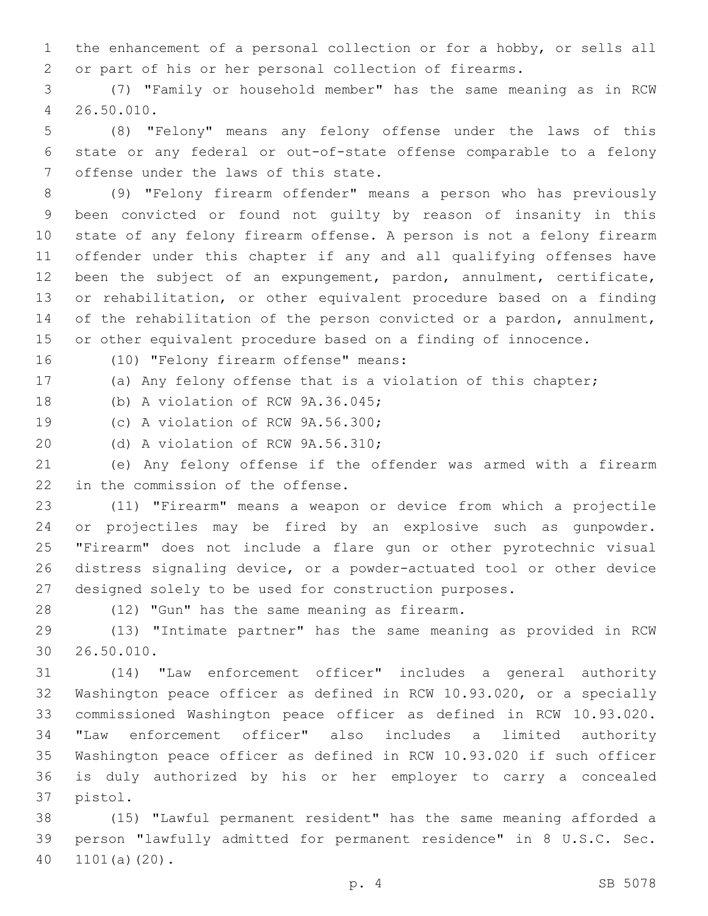the enhancement of a personal collection or for a hobby, or sells all or part of his or her personal collection of firearms.

 (7) "Family or household member" has the same meaning as in RCW 26.50.010.4

 (8) "Felony" means any felony offense under the laws of this state or any federal or out-of-state offense comparable to a felony 7 offense under the laws of this state.

 (9) "Felony firearm offender" means a person who has previously been convicted or found not guilty by reason of insanity in this state of any felony firearm offense. A person is not a felony firearm offender under this chapter if any and all qualifying offenses have been the subject of an expungement, pardon, annulment, certificate, or rehabilitation, or other equivalent procedure based on a finding 14 of the rehabilitation of the person convicted or a pardon, annulment, or other equivalent procedure based on a finding of innocence.

16 (10) "Felony firearm offense" means:

(a) Any felony offense that is a violation of this chapter;

18 (b) A violation of RCW 9A.36.045;

19 (c) A violation of RCW 9A.56.300;

20 (d) A violation of RCW 9A.56.310;

 (e) Any felony offense if the offender was armed with a firearm 22 in the commission of the offense.

 (11) "Firearm" means a weapon or device from which a projectile or projectiles may be fired by an explosive such as gunpowder. "Firearm" does not include a flare gun or other pyrotechnic visual distress signaling device, or a powder-actuated tool or other device designed solely to be used for construction purposes.

28 (12) "Gun" has the same meaning as firearm.

 (13) "Intimate partner" has the same meaning as provided in RCW 26.50.010.30

 (14) "Law enforcement officer" includes a general authority Washington peace officer as defined in RCW 10.93.020, or a specially commissioned Washington peace officer as defined in RCW 10.93.020. "Law enforcement officer" also includes a limited authority Washington peace officer as defined in RCW 10.93.020 if such officer is duly authorized by his or her employer to carry a concealed 37 pistol.

 (15) "Lawful permanent resident" has the same meaning afforded a person "lawfully admitted for permanent residence" in 8 U.S.C. Sec. 40 1101(a)(20).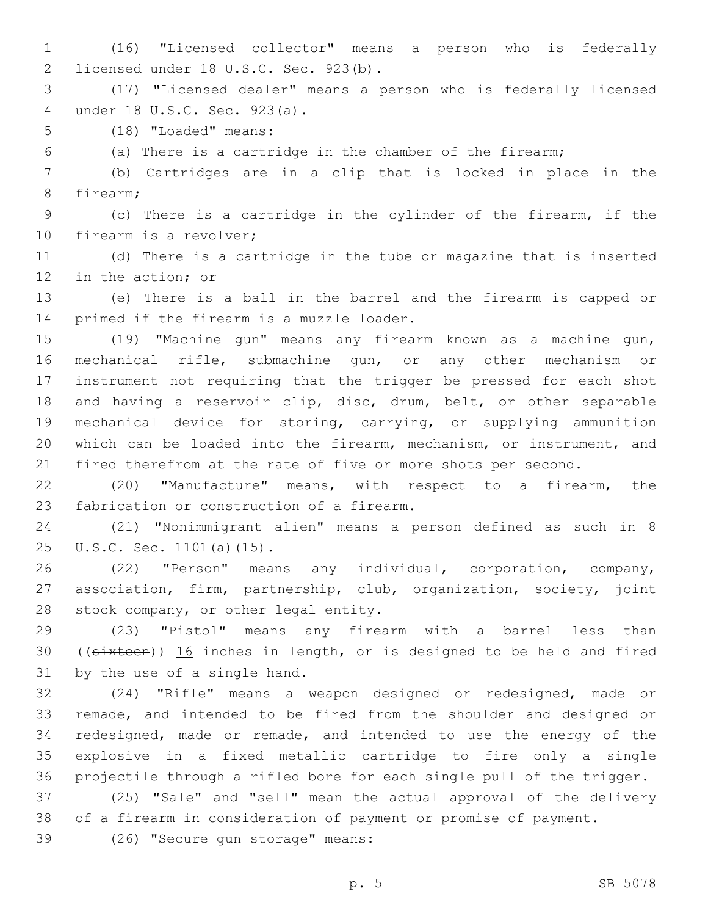(16) "Licensed collector" means a person who is federally 2 licensed under 18 U.S.C. Sec. 923(b).

 (17) "Licensed dealer" means a person who is federally licensed under 18 U.S.C. Sec. 923(a).4

5 (18) "Loaded" means:

(a) There is a cartridge in the chamber of the firearm;

 (b) Cartridges are in a clip that is locked in place in the 8 firearm;

 (c) There is a cartridge in the cylinder of the firearm, if the 10 firearm is a revolver;

 (d) There is a cartridge in the tube or magazine that is inserted 12 in the action; or

 (e) There is a ball in the barrel and the firearm is capped or 14 primed if the firearm is a muzzle loader.

 (19) "Machine gun" means any firearm known as a machine gun, mechanical rifle, submachine gun, or any other mechanism or instrument not requiring that the trigger be pressed for each shot and having a reservoir clip, disc, drum, belt, or other separable mechanical device for storing, carrying, or supplying ammunition which can be loaded into the firearm, mechanism, or instrument, and fired therefrom at the rate of five or more shots per second.

 (20) "Manufacture" means, with respect to a firearm, the 23 fabrication or construction of a firearm.

 (21) "Nonimmigrant alien" means a person defined as such in 8 25 U.S.C. Sec. 1101(a)(15).

 (22) "Person" means any individual, corporation, company, association, firm, partnership, club, organization, society, joint 28 stock company, or other legal entity.

 (23) "Pistol" means any firearm with a barrel less than ((sixteen)) 16 inches in length, or is designed to be held and fired 31 by the use of a single hand.

 (24) "Rifle" means a weapon designed or redesigned, made or remade, and intended to be fired from the shoulder and designed or redesigned, made or remade, and intended to use the energy of the explosive in a fixed metallic cartridge to fire only a single projectile through a rifled bore for each single pull of the trigger.

 (25) "Sale" and "sell" mean the actual approval of the delivery of a firearm in consideration of payment or promise of payment.

39 (26) "Secure gun storage" means: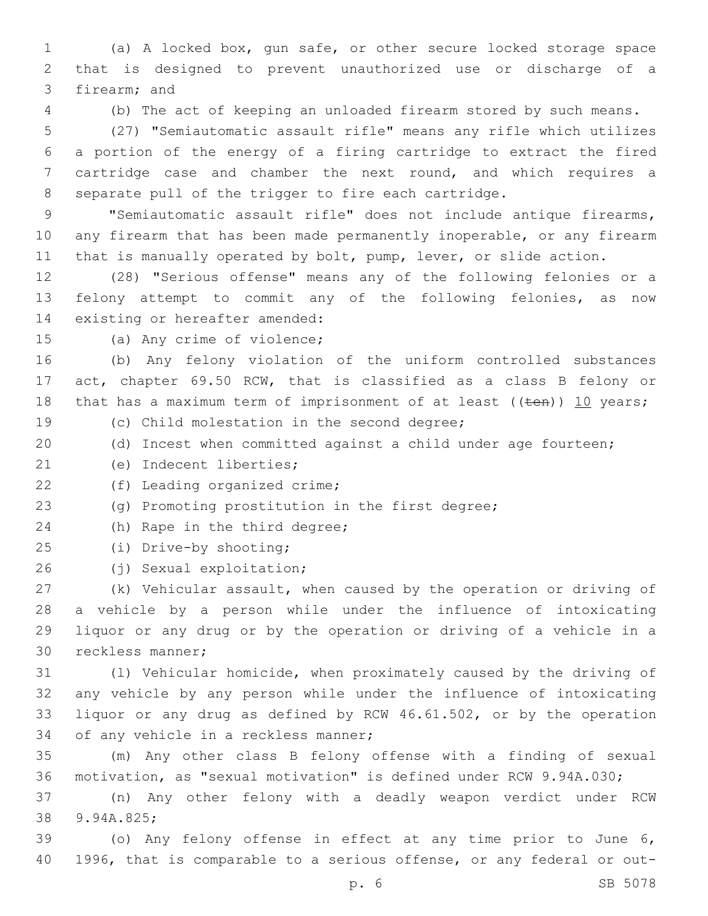(a) A locked box, gun safe, or other secure locked storage space that is designed to prevent unauthorized use or discharge of a 3 firearm; and

(b) The act of keeping an unloaded firearm stored by such means.

 (27) "Semiautomatic assault rifle" means any rifle which utilizes a portion of the energy of a firing cartridge to extract the fired cartridge case and chamber the next round, and which requires a separate pull of the trigger to fire each cartridge.

9 "Semiautomatic assault rifle" does not include antique firearms, any firearm that has been made permanently inoperable, or any firearm that is manually operated by bolt, pump, lever, or slide action.

 (28) "Serious offense" means any of the following felonies or a felony attempt to commit any of the following felonies, as now 14 existing or hereafter amended:

15 (a) Any crime of violence;

 (b) Any felony violation of the uniform controlled substances act, chapter 69.50 RCW, that is classified as a class B felony or 18 that has a maximum term of imprisonment of at least ( $(\text{ten})$ ) 10 years; 19 (c) Child molestation in the second degree;

(d) Incest when committed against a child under age fourteen;

(e) Indecent liberties;21

22 (f) Leading organized crime;

(g) Promoting prostitution in the first degree;

24 (h) Rape in the third degree;

25 (i) Drive-by shooting;

(j) Sexual exploitation;26

 (k) Vehicular assault, when caused by the operation or driving of a vehicle by a person while under the influence of intoxicating liquor or any drug or by the operation or driving of a vehicle in a 30 reckless manner;

 (l) Vehicular homicide, when proximately caused by the driving of any vehicle by any person while under the influence of intoxicating liquor or any drug as defined by RCW 46.61.502, or by the operation 34 of any vehicle in a reckless manner;

 (m) Any other class B felony offense with a finding of sexual motivation, as "sexual motivation" is defined under RCW 9.94A.030;

 (n) Any other felony with a deadly weapon verdict under RCW 38 9.94A.825;

 (o) Any felony offense in effect at any time prior to June 6, 1996, that is comparable to a serious offense, or any federal or out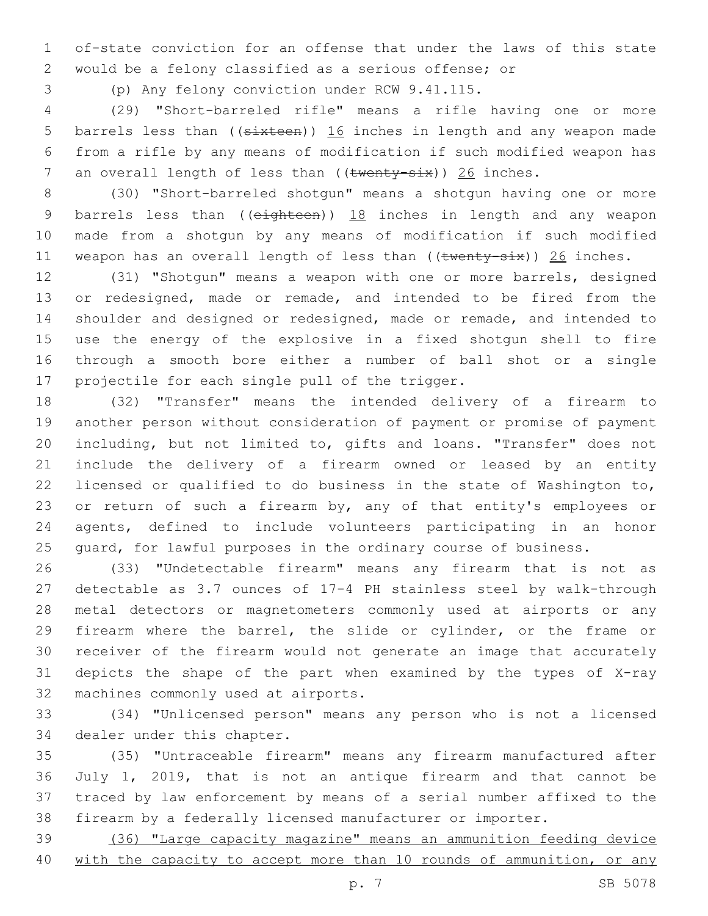of-state conviction for an offense that under the laws of this state would be a felony classified as a serious offense; or

(p) Any felony conviction under RCW 9.41.115.

 (29) "Short-barreled rifle" means a rifle having one or more 5 barrels less than ((sixteen)) 16 inches in length and any weapon made from a rifle by any means of modification if such modified weapon has 7 an overall length of less than  $((\text{twenty-six}))$  26 inches.

 (30) "Short-barreled shotgun" means a shotgun having one or more 9 barrels less than ( $(e^{i}$ ghteen))  $18$  inches in length and any weapon made from a shotgun by any means of modification if such modified 11 weapon has an overall length of less than  $((\text{twenty-six}) )$  26 inches.

 (31) "Shotgun" means a weapon with one or more barrels, designed or redesigned, made or remade, and intended to be fired from the shoulder and designed or redesigned, made or remade, and intended to use the energy of the explosive in a fixed shotgun shell to fire through a smooth bore either a number of ball shot or a single 17 projectile for each single pull of the trigger.

 (32) "Transfer" means the intended delivery of a firearm to another person without consideration of payment or promise of payment including, but not limited to, gifts and loans. "Transfer" does not include the delivery of a firearm owned or leased by an entity licensed or qualified to do business in the state of Washington to, 23 or return of such a firearm by, any of that entity's employees or agents, defined to include volunteers participating in an honor 25 guard, for lawful purposes in the ordinary course of business.

 (33) "Undetectable firearm" means any firearm that is not as detectable as 3.7 ounces of 17-4 PH stainless steel by walk-through metal detectors or magnetometers commonly used at airports or any firearm where the barrel, the slide or cylinder, or the frame or receiver of the firearm would not generate an image that accurately depicts the shape of the part when examined by the types of X-ray 32 machines commonly used at airports.

 (34) "Unlicensed person" means any person who is not a licensed 34 dealer under this chapter.

 (35) "Untraceable firearm" means any firearm manufactured after July 1, 2019, that is not an antique firearm and that cannot be traced by law enforcement by means of a serial number affixed to the firearm by a federally licensed manufacturer or importer.

 (36) "Large capacity magazine" means an ammunition feeding device 40 with the capacity to accept more than 10 rounds of ammunition, or any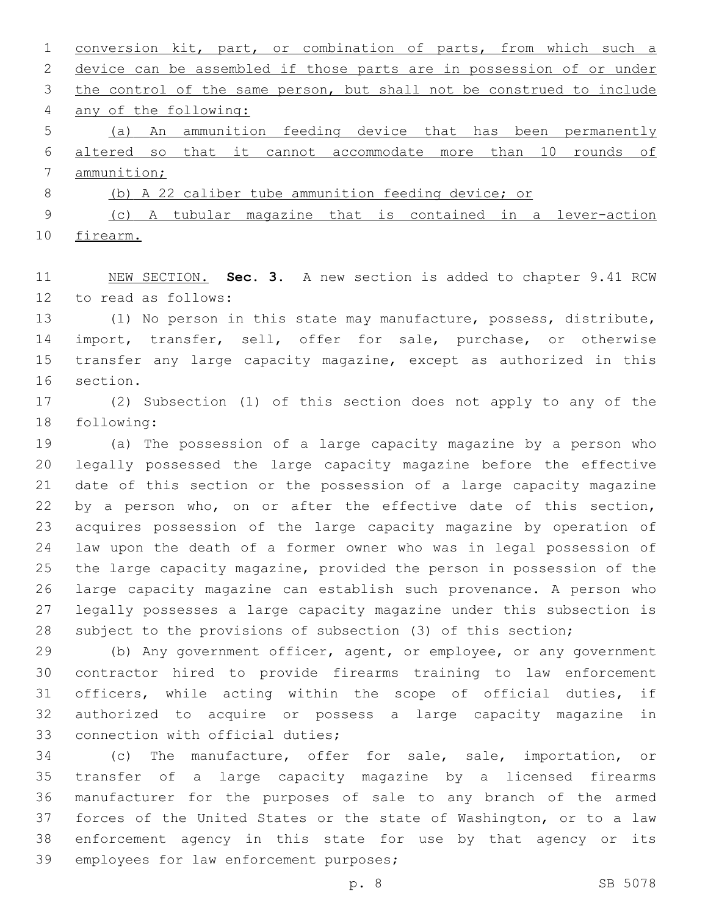| $\mathbf{1}$ | conversion kit, part, or combination of parts, from which such a      |
|--------------|-----------------------------------------------------------------------|
| 2            | device can be assembled if those parts are in possession of or under  |
| 3            | the control of the same person, but shall not be construed to include |
| 4            | any of the following:                                                 |
| 5            | An ammunition feeding device that has been permanently<br>(a)         |
| 6            | altered so that it cannot accommodate more than 10 rounds of          |
| 7            | ammunition;                                                           |
| 8            | (b) A 22 caliber tube ammunition feeding device; or                   |
| 9            | A tubular magazine that is contained in a lever-action<br>(C)         |

firearm.

 NEW SECTION. **Sec. 3.** A new section is added to chapter 9.41 RCW 12 to read as follows:

 (1) No person in this state may manufacture, possess, distribute, 14 import, transfer, sell, offer for sale, purchase, or otherwise transfer any large capacity magazine, except as authorized in this 16 section.

 (2) Subsection (1) of this section does not apply to any of the 18 following:

 (a) The possession of a large capacity magazine by a person who legally possessed the large capacity magazine before the effective date of this section or the possession of a large capacity magazine 22 by a person who, on or after the effective date of this section, acquires possession of the large capacity magazine by operation of law upon the death of a former owner who was in legal possession of the large capacity magazine, provided the person in possession of the large capacity magazine can establish such provenance. A person who legally possesses a large capacity magazine under this subsection is subject to the provisions of subsection (3) of this section;

29 (b) Any government officer, agent, or employee, or any government contractor hired to provide firearms training to law enforcement officers, while acting within the scope of official duties, if authorized to acquire or possess a large capacity magazine in 33 connection with official duties;

 (c) The manufacture, offer for sale, sale, importation, or transfer of a large capacity magazine by a licensed firearms manufacturer for the purposes of sale to any branch of the armed forces of the United States or the state of Washington, or to a law enforcement agency in this state for use by that agency or its 39 employees for law enforcement purposes;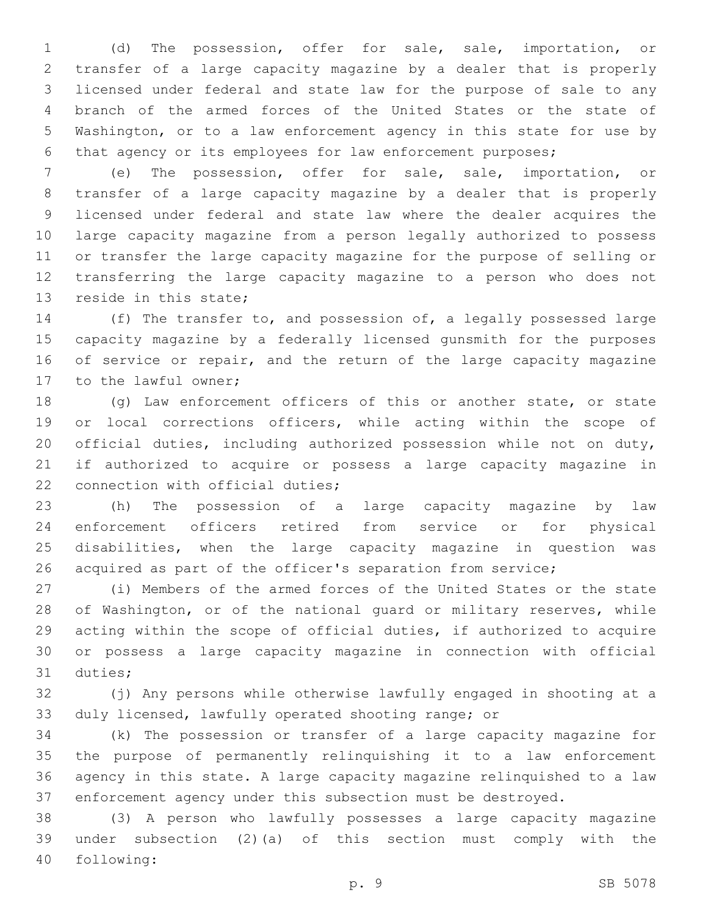(d) The possession, offer for sale, sale, importation, or transfer of a large capacity magazine by a dealer that is properly licensed under federal and state law for the purpose of sale to any branch of the armed forces of the United States or the state of Washington, or to a law enforcement agency in this state for use by that agency or its employees for law enforcement purposes;

 (e) The possession, offer for sale, sale, importation, or transfer of a large capacity magazine by a dealer that is properly licensed under federal and state law where the dealer acquires the large capacity magazine from a person legally authorized to possess or transfer the large capacity magazine for the purpose of selling or transferring the large capacity magazine to a person who does not 13 reside in this state;

 (f) The transfer to, and possession of, a legally possessed large capacity magazine by a federally licensed gunsmith for the purposes 16 of service or repair, and the return of the large capacity magazine 17 to the lawful owner;

 (g) Law enforcement officers of this or another state, or state 19 or local corrections officers, while acting within the scope of official duties, including authorized possession while not on duty, if authorized to acquire or possess a large capacity magazine in 22 connection with official duties;

 (h) The possession of a large capacity magazine by law enforcement officers retired from service or for physical disabilities, when the large capacity magazine in question was 26 acquired as part of the officer's separation from service;

 (i) Members of the armed forces of the United States or the state of Washington, or of the national guard or military reserves, while acting within the scope of official duties, if authorized to acquire or possess a large capacity magazine in connection with official 31 duties;

 (j) Any persons while otherwise lawfully engaged in shooting at a duly licensed, lawfully operated shooting range; or

 (k) The possession or transfer of a large capacity magazine for the purpose of permanently relinquishing it to a law enforcement agency in this state. A large capacity magazine relinquished to a law enforcement agency under this subsection must be destroyed.

 (3) A person who lawfully possesses a large capacity magazine under subsection (2)(a) of this section must comply with the following:40